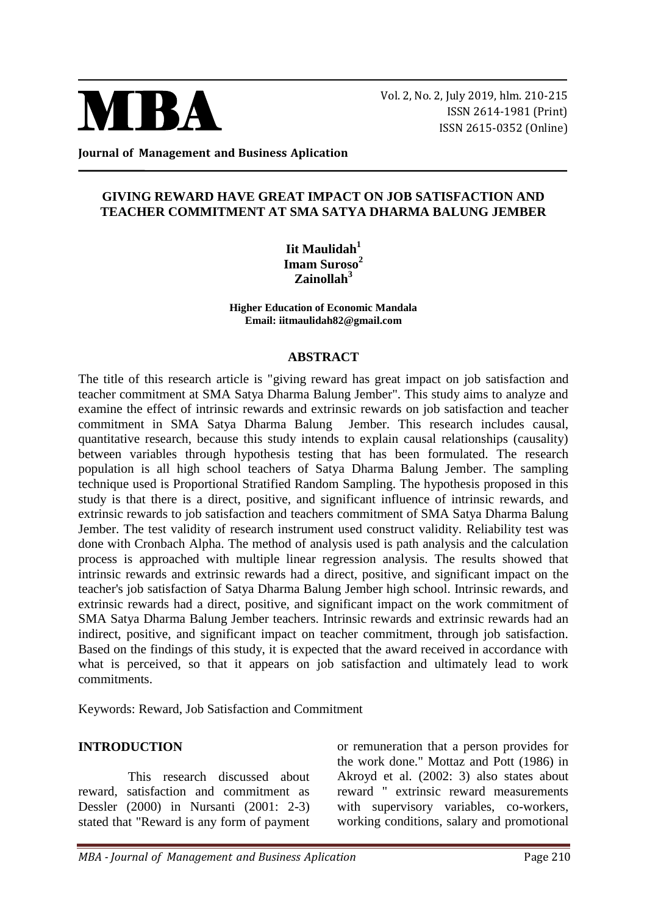

Vol. 2, No. 2, July 2019, hlm. 210-215 ISSN 2614-1981 (Print) ISSN 2615-0352 (Online)

**Journal of Management and Business Aplication**

### **GIVING REWARD HAVE GREAT IMPACT ON JOB SATISFACTION AND TEACHER COMMITMENT AT SMA SATYA DHARMA BALUNG JEMBER**

**Iit Maulidah<sup>1</sup> Imam Suroso<sup>2</sup> Zainollah<sup>3</sup>**

**Higher Education of Economic Mandala Email: iitmaulidah82@gmail.com**

#### **ABSTRACT**

The title of this research article is "giving reward has great impact on job satisfaction and teacher commitment at SMA Satya Dharma Balung Jember". This study aims to analyze and examine the effect of intrinsic rewards and extrinsic rewards on job satisfaction and teacher commitment in SMA Satya Dharma Balung Jember. This research includes causal, quantitative research, because this study intends to explain causal relationships (causality) between variables through hypothesis testing that has been formulated. The research population is all high school teachers of Satya Dharma Balung Jember. The sampling technique used is Proportional Stratified Random Sampling. The hypothesis proposed in this study is that there is a direct, positive, and significant influence of intrinsic rewards, and extrinsic rewards to job satisfaction and teachers commitment of SMA Satya Dharma Balung Jember. The test validity of research instrument used construct validity. Reliability test was done with Cronbach Alpha. The method of analysis used is path analysis and the calculation process is approached with multiple linear regression analysis. The results showed that intrinsic rewards and extrinsic rewards had a direct, positive, and significant impact on the teacher's job satisfaction of Satya Dharma Balung Jember high school. Intrinsic rewards, and extrinsic rewards had a direct, positive, and significant impact on the work commitment of SMA Satya Dharma Balung Jember teachers. Intrinsic rewards and extrinsic rewards had an indirect, positive, and significant impact on teacher commitment, through job satisfaction. Based on the findings of this study, it is expected that the award received in accordance with what is perceived, so that it appears on job satisfaction and ultimately lead to work commitments.

Keywords: Reward, Job Satisfaction and Commitment

### **INTRODUCTION**

This research discussed about reward, satisfaction and commitment as Dessler (2000) in Nursanti (2001: 2-3) stated that "Reward is any form of payment or remuneration that a person provides for the work done." Mottaz and Pott (1986) in Akroyd et al. (2002: 3) also states about reward " extrinsic reward measurements with supervisory variables, co-workers, working conditions, salary and promotional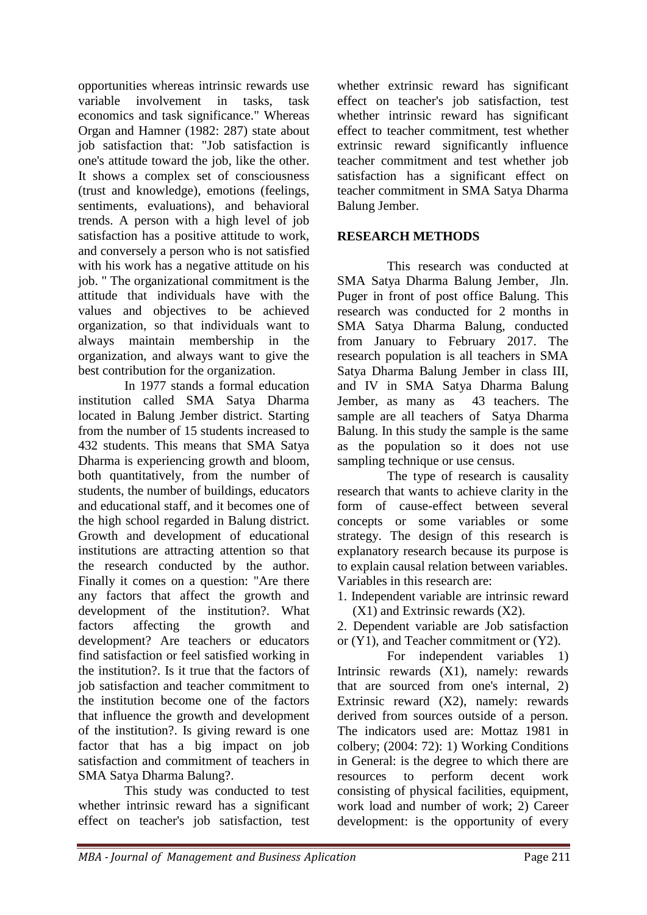opportunities whereas intrinsic rewards use variable involvement in tasks, task economics and task significance." Whereas Organ and Hamner (1982: 287) state about job satisfaction that: "Job satisfaction is one's attitude toward the job, like the other. It shows a complex set of consciousness (trust and knowledge), emotions (feelings, sentiments, evaluations), and behavioral trends. A person with a high level of job satisfaction has a positive attitude to work, and conversely a person who is not satisfied with his work has a negative attitude on his job. " The organizational commitment is the attitude that individuals have with the values and objectives to be achieved organization, so that individuals want to always maintain membership in the organization, and always want to give the best contribution for the organization.

In 1977 stands a formal education institution called SMA Satya Dharma located in Balung Jember district. Starting from the number of 15 students increased to 432 students. This means that SMA Satya Dharma is experiencing growth and bloom, both quantitatively, from the number of students, the number of buildings, educators and educational staff, and it becomes one of the high school regarded in Balung district. Growth and development of educational institutions are attracting attention so that the research conducted by the author. Finally it comes on a question: "Are there any factors that affect the growth and development of the institution?. What factors affecting the growth and development? Are teachers or educators find satisfaction or feel satisfied working in the institution?. Is it true that the factors of job satisfaction and teacher commitment to the institution become one of the factors that influence the growth and development of the institution?. Is giving reward is one factor that has a big impact on job satisfaction and commitment of teachers in SMA Satya Dharma Balung?.

This study was conducted to test whether intrinsic reward has a significant effect on teacher's job satisfaction, test whether extrinsic reward has significant effect on teacher's job satisfaction, test whether intrinsic reward has significant effect to teacher commitment, test whether extrinsic reward significantly influence teacher commitment and test whether job satisfaction has a significant effect on teacher commitment in SMA Satya Dharma Balung Jember.

## **RESEARCH METHODS**

This research was conducted at SMA Satya Dharma Balung Jember, Jln. Puger in front of post office Balung. This research was conducted for 2 months in SMA Satya Dharma Balung, conducted from January to February 2017. The research population is all teachers in SMA Satya Dharma Balung Jember in class III, and IV in SMA Satya Dharma Balung Jember, as many as 43 teachers. The sample are all teachers of Satya Dharma Balung. In this study the sample is the same as the population so it does not use sampling technique or use census.

The type of research is causality research that wants to achieve clarity in the form of cause-effect between several concepts or some variables or some strategy. The design of this research is explanatory research because its purpose is to explain causal relation between variables. Variables in this research are:

1. Independent variable are intrinsic reward (X1) and Extrinsic rewards (X2).

2. Dependent variable are Job satisfaction or (Y1), and Teacher commitment or (Y2).

For independent variables 1) Intrinsic rewards (X1), namely: rewards that are sourced from one's internal, 2) Extrinsic reward (X2), namely: rewards derived from sources outside of a person. The indicators used are: Mottaz 1981 in colbery; (2004: 72): 1) Working Conditions in General: is the degree to which there are resources to perform decent work consisting of physical facilities, equipment, work load and number of work; 2) Career development: is the opportunity of every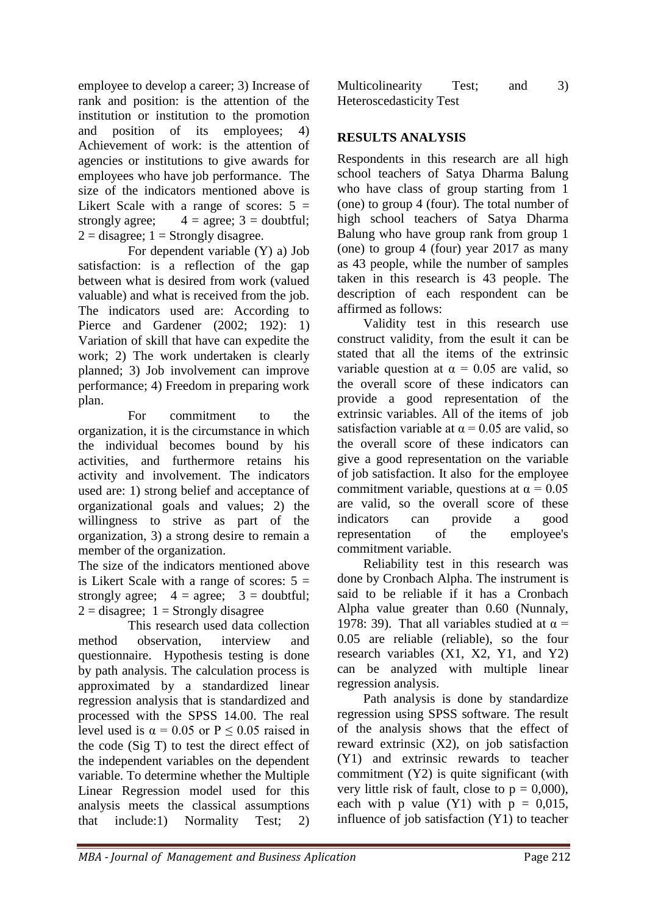employee to develop a career; 3) Increase of rank and position: is the attention of the institution or institution to the promotion and position of its employees; 4) Achievement of work: is the attention of agencies or institutions to give awards for employees who have job performance. The size of the indicators mentioned above is Likert Scale with a range of scores:  $5 =$ strongly agree;  $4 = \text{agree}$ ;  $3 = \text{double}$ ;  $2 =$  disagree;  $1 =$  Strongly disagree.

For dependent variable (Y) a) Job satisfaction: is a reflection of the gap between what is desired from work (valued valuable) and what is received from the job. The indicators used are: According to Pierce and Gardener (2002; 192): 1) Variation of skill that have can expedite the work; 2) The work undertaken is clearly planned; 3) Job involvement can improve performance; 4) Freedom in preparing work plan.

For commitment to the organization, it is the circumstance in which the individual becomes bound by his activities, and furthermore retains his activity and involvement. The indicators used are: 1) strong belief and acceptance of organizational goals and values; 2) the willingness to strive as part of the organization, 3) a strong desire to remain a member of the organization.

The size of the indicators mentioned above is Likert Scale with a range of scores:  $5 =$ strongly agree;  $4 = \text{agree}$ ;  $3 = \text{double}$ ;  $2 =$  disagree;  $1 =$  Strongly disagree

This research used data collection method observation, interview and questionnaire. Hypothesis testing is done by path analysis. The calculation process is approximated by a standardized linear regression analysis that is standardized and processed with the SPSS 14.00. The real level used is  $\alpha = 0.05$  or P < 0.05 raised in the code (Sig T) to test the direct effect of the independent variables on the dependent variable. To determine whether the Multiple Linear Regression model used for this analysis meets the classical assumptions that include:1) Normality Test; 2)

| Multicolinearity               | Test; | and | 3) |
|--------------------------------|-------|-----|----|
| <b>Heteroscedasticity Test</b> |       |     |    |

# **RESULTS ANALYSIS**

Respondents in this research are all high school teachers of Satya Dharma Balung who have class of group starting from 1 (one) to group 4 (four). The total number of high school teachers of Satya Dharma Balung who have group rank from group 1 (one) to group 4 (four) year 2017 as many as 43 people, while the number of samples taken in this research is 43 people. The description of each respondent can be affirmed as follows:

 Validity test in this research use construct validity, from the esult it can be stated that all the items of the extrinsic variable question at  $\alpha = 0.05$  are valid, so the overall score of these indicators can provide a good representation of the extrinsic variables. All of the items of job satisfaction variable at  $\alpha$  = 0.05 are valid, so the overall score of these indicators can give a good representation on the variable of job satisfaction. It also for the employee commitment variable, questions at  $\alpha = 0.05$ are valid, so the overall score of these indicators can provide a good representation of the employee's commitment variable.

 Reliability test in this research was done by Cronbach Alpha. The instrument is said to be reliable if it has a Cronbach Alpha value greater than 0.60 (Nunnaly, 1978: 39). That all variables studied at  $\alpha$  = 0.05 are reliable (reliable), so the four research variables (X1, X2, Y1, and Y2) can be analyzed with multiple linear regression analysis.

 Path analysis is done by standardize regression using SPSS software. The result of the analysis shows that the effect of reward extrinsic (X2), on job satisfaction (Y1) and extrinsic rewards to teacher commitment (Y2) is quite significant (with very little risk of fault, close to  $p = 0,000$ , each with p value  $(Y1)$  with  $p = 0.015$ , influence of job satisfaction (Y1) to teacher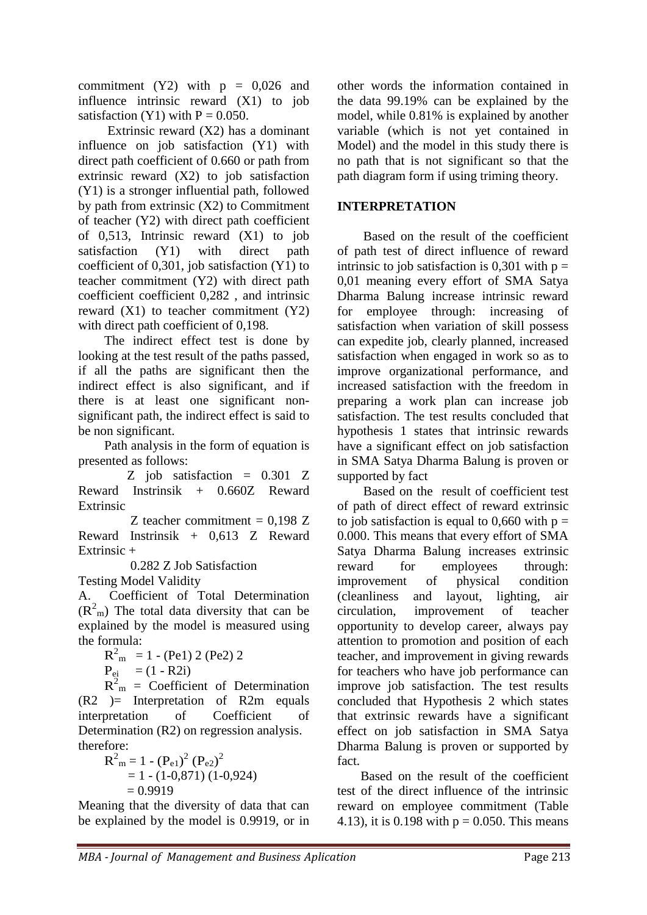commitment (Y2) with  $p = 0.026$  and influence intrinsic reward (X1) to job satisfaction (Y1) with  $P = 0.050$ .

 Extrinsic reward (X2) has a dominant influence on job satisfaction (Y1) with direct path coefficient of 0.660 or path from extrinsic reward (X2) to job satisfaction (Y1) is a stronger influential path, followed by path from extrinsic (X2) to Commitment of teacher (Y2) with direct path coefficient of 0,513, Intrinsic reward (X1) to job satisfaction (Y1) with direct path coefficient of 0,301, job satisfaction (Y1) to teacher commitment (Y2) with direct path coefficient coefficient 0,282 , and intrinsic reward  $(X1)$  to teacher commitment  $(Y2)$ with direct path coefficient of 0,198.

 The indirect effect test is done by looking at the test result of the paths passed, if all the paths are significant then the indirect effect is also significant, and if there is at least one significant nonsignificant path, the indirect effect is said to be non significant.

 Path analysis in the form of equation is presented as follows:

 Z job satisfaction = 0.301 Z Reward Instrinsik + 0.660Z Reward Extrinsic

Z teacher commitment  $= 0.198$  Z Reward Instrinsik + 0,613 Z Reward Extrinsic +

0.282 Z Job Satisfaction

Testing Model Validity

A. Coefficient of Total Determination  $(R<sup>2</sup><sub>m</sub>)$  The total data diversity that can be explained by the model is measured using the formula:

 $R_{m}^{2}$  = 1 - (Pe1) 2 (Pe2) 2

$$
P_{ei} = (1 - R2i)
$$

 $R^{2}_{m}$  = Coefficient of Determination  $(R2)$  = Interpretation of R2m equals interpretation of Coefficient of Determination (R2) on regression analysis. therefore:

 $R^{2}_{m} = 1 - (P_{e1})^{2} (P_{e2})^{2}$  $= 1 - (1 - 0.871) (1 - 0.924)$  $= 0.9919$ 

Meaning that the diversity of data that can be explained by the model is 0.9919, or in other words the information contained in the data 99.19% can be explained by the model, while 0.81% is explained by another variable (which is not yet contained in Model) and the model in this study there is no path that is not significant so that the path diagram form if using triming theory.

## **INTERPRETATION**

 Based on the result of the coefficient of path test of direct influence of reward intrinsic to job satisfaction is 0,301 with  $p =$ 0,01 meaning every effort of SMA Satya Dharma Balung increase intrinsic reward for employee through: increasing of satisfaction when variation of skill possess can expedite job, clearly planned, increased satisfaction when engaged in work so as to improve organizational performance, and increased satisfaction with the freedom in preparing a work plan can increase job satisfaction. The test results concluded that hypothesis 1 states that intrinsic rewards have a significant effect on job satisfaction in SMA Satya Dharma Balung is proven or supported by fact

 Based on the result of coefficient test of path of direct effect of reward extrinsic to job satisfaction is equal to 0,660 with  $p =$ 0.000. This means that every effort of SMA Satya Dharma Balung increases extrinsic reward for employees through: improvement of physical condition (cleanliness and layout, lighting, air circulation, improvement of teacher opportunity to develop career, always pay attention to promotion and position of each teacher, and improvement in giving rewards for teachers who have job performance can improve job satisfaction. The test results concluded that Hypothesis 2 which states that extrinsic rewards have a significant effect on job satisfaction in SMA Satya Dharma Balung is proven or supported by fact.

Based on the result of the coefficient test of the direct influence of the intrinsic reward on employee commitment (Table 4.13), it is 0.198 with  $p = 0.050$ . This means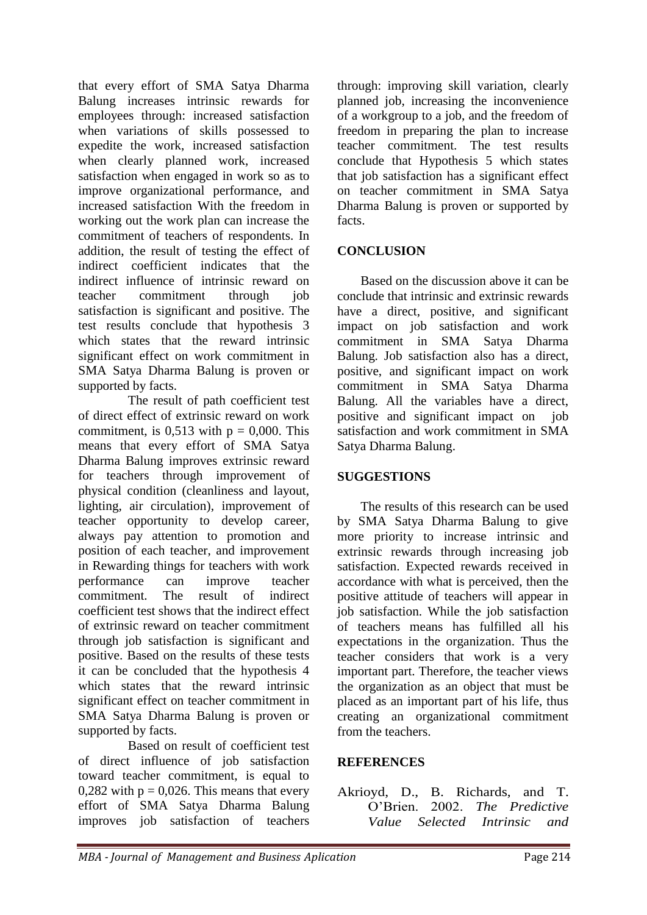that every effort of SMA Satya Dharma Balung increases intrinsic rewards for employees through: increased satisfaction when variations of skills possessed to expedite the work, increased satisfaction when clearly planned work, increased satisfaction when engaged in work so as to improve organizational performance, and increased satisfaction With the freedom in working out the work plan can increase the commitment of teachers of respondents. In addition, the result of testing the effect of indirect coefficient indicates that the indirect influence of intrinsic reward on teacher commitment through job satisfaction is significant and positive. The test results conclude that hypothesis 3 which states that the reward intrinsic significant effect on work commitment in SMA Satya Dharma Balung is proven or supported by facts.

The result of path coefficient test of direct effect of extrinsic reward on work commitment, is  $0.513$  with  $p = 0.000$ . This means that every effort of SMA Satya Dharma Balung improves extrinsic reward for teachers through improvement of physical condition (cleanliness and layout, lighting, air circulation), improvement of teacher opportunity to develop career, always pay attention to promotion and position of each teacher, and improvement in Rewarding things for teachers with work performance can improve teacher commitment. The result of indirect coefficient test shows that the indirect effect of extrinsic reward on teacher commitment through job satisfaction is significant and positive. Based on the results of these tests it can be concluded that the hypothesis 4 which states that the reward intrinsic significant effect on teacher commitment in SMA Satya Dharma Balung is proven or supported by facts.

 Based on result of coefficient test of direct influence of job satisfaction toward teacher commitment, is equal to 0,282 with  $p = 0.026$ . This means that every effort of SMA Satya Dharma Balung improves job satisfaction of teachers through: improving skill variation, clearly planned job, increasing the inconvenience of a workgroup to a job, and the freedom of freedom in preparing the plan to increase teacher commitment. The test results conclude that Hypothesis 5 which states that job satisfaction has a significant effect on teacher commitment in SMA Satya Dharma Balung is proven or supported by facts.

## **CONCLUSION**

Based on the discussion above it can be conclude that intrinsic and extrinsic rewards have a direct, positive, and significant impact on job satisfaction and work commitment in SMA Satya Dharma Balung. Job satisfaction also has a direct, positive, and significant impact on work commitment in SMA Satya Dharma Balung. All the variables have a direct, positive and significant impact on job satisfaction and work commitment in SMA Satya Dharma Balung.

## **SUGGESTIONS**

The results of this research can be used by SMA Satya Dharma Balung to give more priority to increase intrinsic and extrinsic rewards through increasing job satisfaction. Expected rewards received in accordance with what is perceived, then the positive attitude of teachers will appear in job satisfaction. While the job satisfaction of teachers means has fulfilled all his expectations in the organization. Thus the teacher considers that work is a very important part. Therefore, the teacher views the organization as an object that must be placed as an important part of his life, thus creating an organizational commitment from the teachers.

## **REFERENCES**

Akrioyd, D., B. Richards, and T. O'Brien. 2002. *The Predictive Value Selected Intrinsic and*